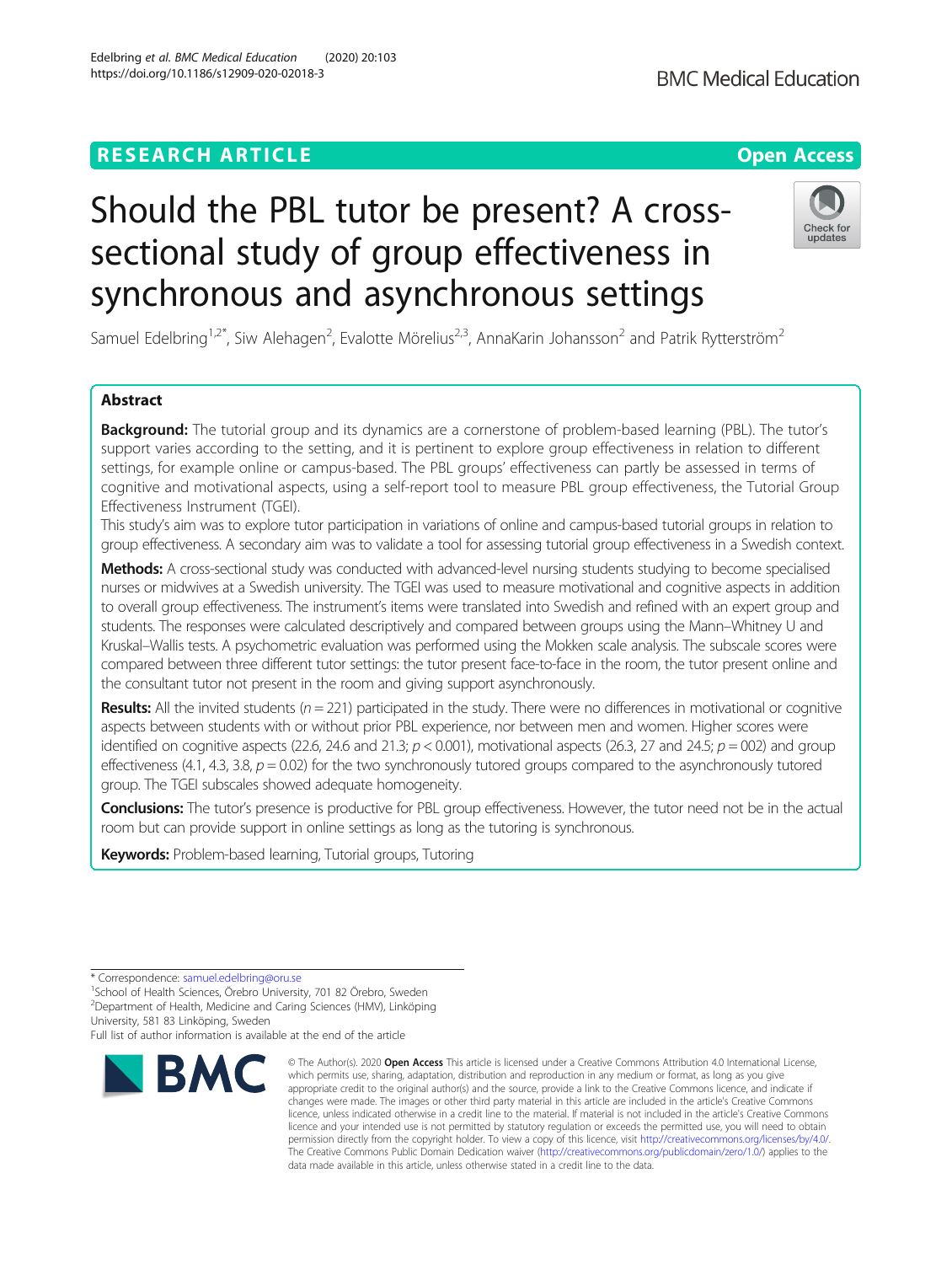# **RESEARCH ARTICLE Example 2014 12:30 The Open Access**

# Should the PBL tutor be present? A crosssectional study of group effectiveness in synchronous and asynchronous settings

Samuel Edelbring<sup>1,2\*</sup>, Siw Alehagen<sup>2</sup>, Evalotte Mörelius<sup>2,3</sup>, AnnaKarin Johansson<sup>2</sup> and Patrik Rytterström<sup>2</sup>

# Abstract

**Background:** The tutorial group and its dynamics are a cornerstone of problem-based learning (PBL). The tutor's support varies according to the setting, and it is pertinent to explore group effectiveness in relation to different settings, for example online or campus-based. The PBL groups' effectiveness can partly be assessed in terms of cognitive and motivational aspects, using a self-report tool to measure PBL group effectiveness, the Tutorial Group Effectiveness Instrument (TGEI).

This study's aim was to explore tutor participation in variations of online and campus-based tutorial groups in relation to group effectiveness. A secondary aim was to validate a tool for assessing tutorial group effectiveness in a Swedish context.

Methods: A cross-sectional study was conducted with advanced-level nursing students studying to become specialised nurses or midwives at a Swedish university. The TGEI was used to measure motivational and cognitive aspects in addition to overall group effectiveness. The instrument's items were translated into Swedish and refined with an expert group and students. The responses were calculated descriptively and compared between groups using the Mann–Whitney U and Kruskal–Wallis tests. A psychometric evaluation was performed using the Mokken scale analysis. The subscale scores were compared between three different tutor settings: the tutor present face-to-face in the room, the tutor present online and the consultant tutor not present in the room and giving support asynchronously.

**Results:** All the invited students ( $n = 221$ ) participated in the study. There were no differences in motivational or cognitive aspects between students with or without prior PBL experience, nor between men and women. Higher scores were identified on cognitive aspects (22.6, 24.6 and 21.3;  $p < 0.001$ ), motivational aspects (26.3, 27 and 24.5;  $p = 002$ ) and group effectiveness (4.1, 4.3, 3.8,  $p = 0.02$ ) for the two synchronously tutored groups compared to the asynchronously tutored group. The TGEI subscales showed adequate homogeneity.

Conclusions: The tutor's presence is productive for PBL group effectiveness. However, the tutor need not be in the actual room but can provide support in online settings as long as the tutoring is synchronous.

Keywords: Problem-based learning, Tutorial groups, Tutoring

Full list of author information is available at the end of the article



<sup>©</sup> The Author(s), 2020 **Open Access** This article is licensed under a Creative Commons Attribution 4.0 International License, which permits use, sharing, adaptation, distribution and reproduction in any medium or format, as long as you give appropriate credit to the original author(s) and the source, provide a link to the Creative Commons licence, and indicate if changes were made. The images or other third party material in this article are included in the article's Creative Commons licence, unless indicated otherwise in a credit line to the material. If material is not included in the article's Creative Commons licence and your intended use is not permitted by statutory regulation or exceeds the permitted use, you will need to obtain permission directly from the copyright holder. To view a copy of this licence, visit [http://creativecommons.org/licenses/by/4.0/.](http://creativecommons.org/licenses/by/4.0/) The Creative Commons Public Domain Dedication waiver [\(http://creativecommons.org/publicdomain/zero/1.0/](http://creativecommons.org/publicdomain/zero/1.0/)) applies to the data made available in this article, unless otherwise stated in a credit line to the data.



Check for undates

<sup>\*</sup> Correspondence: [samuel.edelbring@oru.se](mailto:samuel.edelbring@oru.se)<br><sup>1</sup>School of Health Sciences, Örebro University, 701 82 Örebro, Sweden

<sup>2</sup> Department of Health, Medicine and Caring Sciences (HMV), Linköping University, 581 83 Linköping, Sweden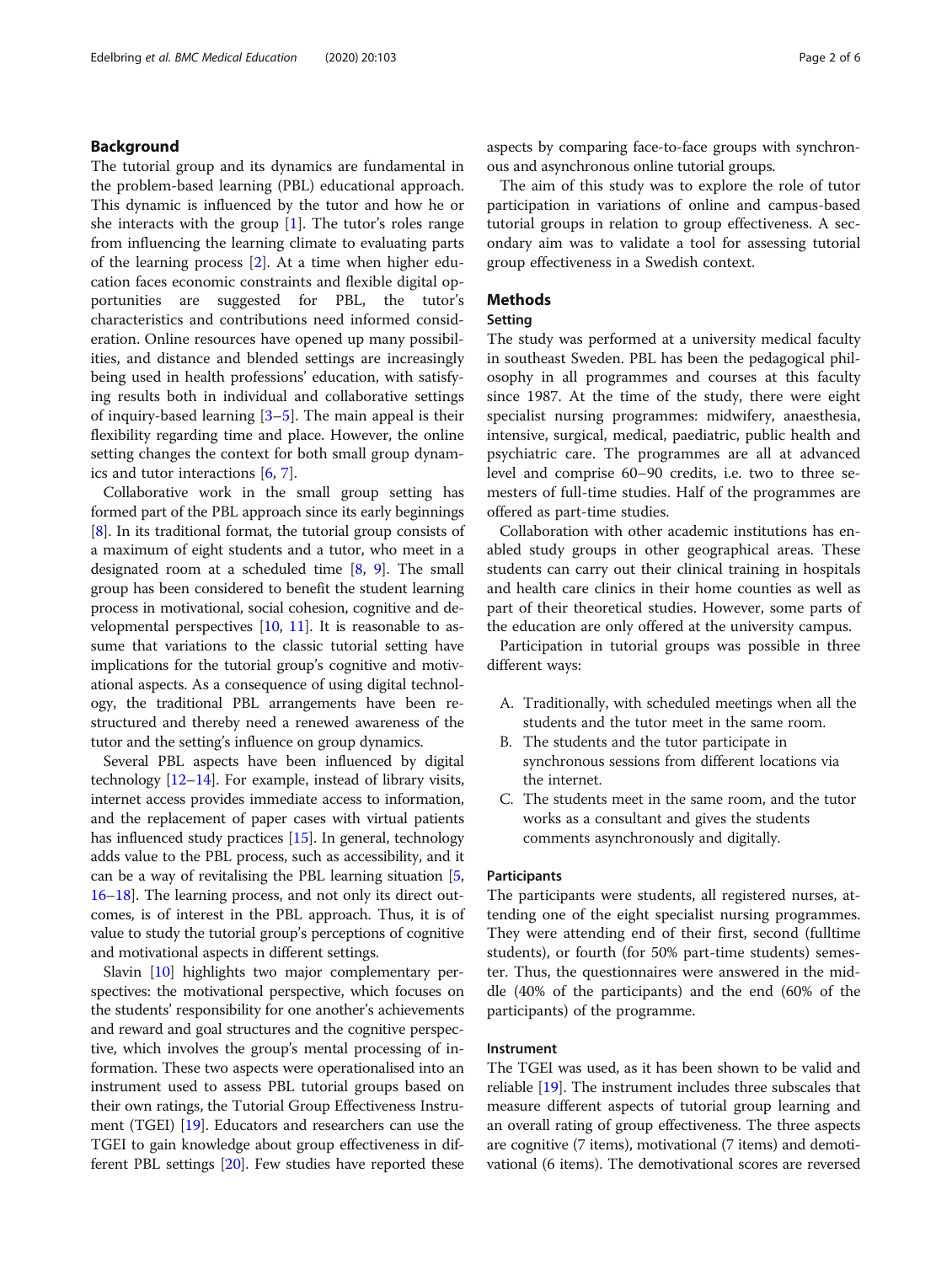# Background

The tutorial group and its dynamics are fundamental in the problem-based learning (PBL) educational approach. This dynamic is influenced by the tutor and how he or she interacts with the group [\[1](#page-5-0)]. The tutor's roles range from influencing the learning climate to evaluating parts of the learning process [[2\]](#page-5-0). At a time when higher education faces economic constraints and flexible digital opportunities are suggested for PBL, the tutor's characteristics and contributions need informed consideration. Online resources have opened up many possibilities, and distance and blended settings are increasingly being used in health professions' education, with satisfying results both in individual and collaborative settings of inquiry-based learning  $[3-5]$  $[3-5]$  $[3-5]$  $[3-5]$ . The main appeal is their flexibility regarding time and place. However, the online setting changes the context for both small group dynamics and tutor interactions [[6,](#page-5-0) [7\]](#page-5-0).

Collaborative work in the small group setting has formed part of the PBL approach since its early beginnings [[8\]](#page-5-0). In its traditional format, the tutorial group consists of a maximum of eight students and a tutor, who meet in a designated room at a scheduled time [\[8,](#page-5-0) [9\]](#page-5-0). The small group has been considered to benefit the student learning process in motivational, social cohesion, cognitive and developmental perspectives  $[10, 11]$  $[10, 11]$  $[10, 11]$ . It is reasonable to assume that variations to the classic tutorial setting have implications for the tutorial group's cognitive and motivational aspects. As a consequence of using digital technology, the traditional PBL arrangements have been restructured and thereby need a renewed awareness of the tutor and the setting's influence on group dynamics.

Several PBL aspects have been influenced by digital technology  $[12-14]$  $[12-14]$  $[12-14]$  $[12-14]$ . For example, instead of library visits, internet access provides immediate access to information, and the replacement of paper cases with virtual patients has influenced study practices [\[15](#page-5-0)]. In general, technology adds value to the PBL process, such as accessibility, and it can be a way of revitalising the PBL learning situation [[5](#page-5-0), [16](#page-5-0)–[18\]](#page-5-0). The learning process, and not only its direct outcomes, is of interest in the PBL approach. Thus, it is of value to study the tutorial group's perceptions of cognitive and motivational aspects in different settings.

Slavin [[10](#page-5-0)] highlights two major complementary perspectives: the motivational perspective, which focuses on the students' responsibility for one another's achievements and reward and goal structures and the cognitive perspective, which involves the group's mental processing of information. These two aspects were operationalised into an instrument used to assess PBL tutorial groups based on their own ratings, the Tutorial Group Effectiveness Instrument (TGEI) [[19](#page-5-0)]. Educators and researchers can use the TGEI to gain knowledge about group effectiveness in different PBL settings [[20\]](#page-5-0). Few studies have reported these aspects by comparing face-to-face groups with synchronous and asynchronous online tutorial groups.

The aim of this study was to explore the role of tutor participation in variations of online and campus-based tutorial groups in relation to group effectiveness. A secondary aim was to validate a tool for assessing tutorial group effectiveness in a Swedish context.

# **Methods**

# Setting

The study was performed at a university medical faculty in southeast Sweden. PBL has been the pedagogical philosophy in all programmes and courses at this faculty since 1987. At the time of the study, there were eight specialist nursing programmes: midwifery, anaesthesia, intensive, surgical, medical, paediatric, public health and psychiatric care. The programmes are all at advanced level and comprise 60–90 credits, i.e. two to three semesters of full-time studies. Half of the programmes are offered as part-time studies.

Collaboration with other academic institutions has enabled study groups in other geographical areas. These students can carry out their clinical training in hospitals and health care clinics in their home counties as well as part of their theoretical studies. However, some parts of the education are only offered at the university campus.

Participation in tutorial groups was possible in three different ways:

- A. Traditionally, with scheduled meetings when all the students and the tutor meet in the same room.
- B. The students and the tutor participate in synchronous sessions from different locations via the internet.
- C. The students meet in the same room, and the tutor works as a consultant and gives the students comments asynchronously and digitally.

# Participants

The participants were students, all registered nurses, attending one of the eight specialist nursing programmes. They were attending end of their first, second (fulltime students), or fourth (for 50% part-time students) semester. Thus, the questionnaires were answered in the middle (40% of the participants) and the end (60% of the participants) of the programme.

# Instrument

The TGEI was used, as it has been shown to be valid and reliable [[19](#page-5-0)]. The instrument includes three subscales that measure different aspects of tutorial group learning and an overall rating of group effectiveness. The three aspects are cognitive (7 items), motivational (7 items) and demotivational (6 items). The demotivational scores are reversed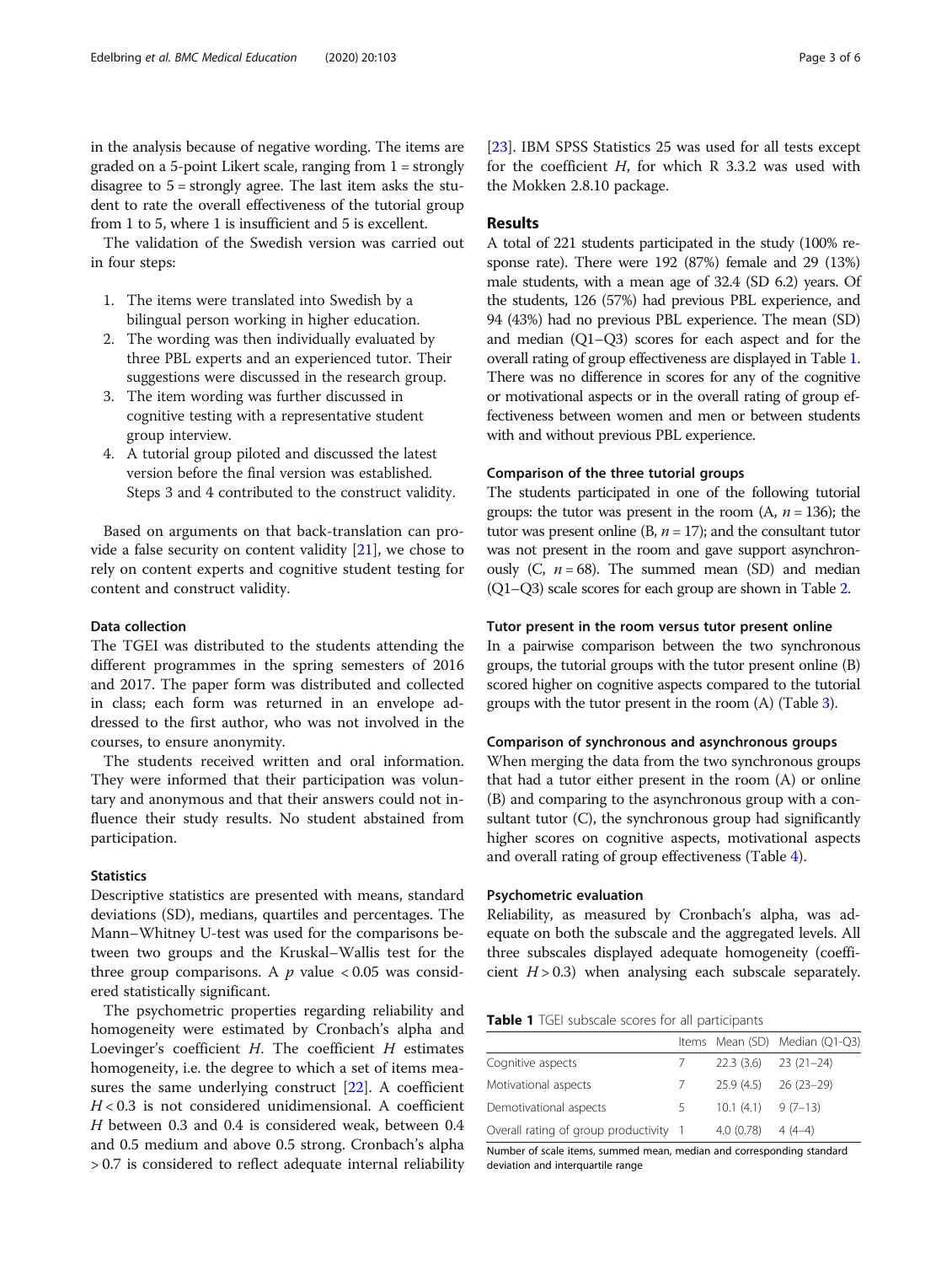The validation of the Swedish version was carried out in four steps:

- 1. The items were translated into Swedish by a bilingual person working in higher education.
- 2. The wording was then individually evaluated by three PBL experts and an experienced tutor. Their suggestions were discussed in the research group.
- 3. The item wording was further discussed in cognitive testing with a representative student group interview.
- 4. A tutorial group piloted and discussed the latest version before the final version was established. Steps 3 and 4 contributed to the construct validity.

Based on arguments on that back-translation can provide a false security on content validity [\[21](#page-5-0)], we chose to rely on content experts and cognitive student testing for content and construct validity.

# Data collection

The TGEI was distributed to the students attending the different programmes in the spring semesters of 2016 and 2017. The paper form was distributed and collected in class; each form was returned in an envelope addressed to the first author, who was not involved in the courses, to ensure anonymity.

The students received written and oral information. They were informed that their participation was voluntary and anonymous and that their answers could not influence their study results. No student abstained from participation.

## **Statistics**

Descriptive statistics are presented with means, standard deviations (SD), medians, quartiles and percentages. The Mann–Whitney U-test was used for the comparisons between two groups and the Kruskal–Wallis test for the three group comparisons. A  $p$  value  $<0.05$  was considered statistically significant.

The psychometric properties regarding reliability and homogeneity were estimated by Cronbach's alpha and Loevinger's coefficient  $H$ . The coefficient  $H$  estimates homogeneity, i.e. the degree to which a set of items measures the same underlying construct [[22\]](#page-5-0). A coefficient  $H < 0.3$  is not considered unidimensional. A coefficient H between 0.3 and 0.4 is considered weak, between 0.4 and 0.5 medium and above 0.5 strong. Cronbach's alpha > 0.7 is considered to reflect adequate internal reliability

[[23\]](#page-5-0). IBM SPSS Statistics 25 was used for all tests except for the coefficient  $H$ , for which R 3.3.2 was used with the Mokken 2.8.10 package.

# Results

A total of 221 students participated in the study (100% response rate). There were 192 (87%) female and 29 (13%) male students, with a mean age of 32.4 (SD 6.2) years. Of the students, 126 (57%) had previous PBL experience, and 94 (43%) had no previous PBL experience. The mean (SD) and median (Q1–Q3) scores for each aspect and for the overall rating of group effectiveness are displayed in Table 1. There was no difference in scores for any of the cognitive or motivational aspects or in the overall rating of group effectiveness between women and men or between students with and without previous PBL experience.

## Comparison of the three tutorial groups

The students participated in one of the following tutorial groups: the tutor was present in the room  $(A, n = 136)$ ; the tutor was present online (B,  $n = 17$ ); and the consultant tutor was not present in the room and gave support asynchronously (C,  $n = 68$ ). The summed mean (SD) and median (Q1–Q3) scale scores for each group are shown in Table [2](#page-3-0).

# Tutor present in the room versus tutor present online

In a pairwise comparison between the two synchronous groups, the tutorial groups with the tutor present online (B) scored higher on cognitive aspects compared to the tutorial groups with the tutor present in the room (A) (Table [3](#page-3-0)).

# Comparison of synchronous and asynchronous groups

When merging the data from the two synchronous groups that had a tutor either present in the room (A) or online (B) and comparing to the asynchronous group with a consultant tutor (C), the synchronous group had significantly higher scores on cognitive aspects, motivational aspects and overall rating of group effectiveness (Table [4\)](#page-4-0).

# Psychometric evaluation

Reliability, as measured by Cronbach's alpha, was adequate on both the subscale and the aggregated levels. All three subscales displayed adequate homogeneity (coefficient  $H > 0.3$ ) when analysing each subscale separately.

| Table 1 TGEI subscale scores for all participants |  |
|---------------------------------------------------|--|
|---------------------------------------------------|--|

|                                        |            |                         | Items Mean (SD) Median (Q1-Q3) |
|----------------------------------------|------------|-------------------------|--------------------------------|
| Cognitive aspects                      | $\sqrt{2}$ | $22.3(3.6)$ $23(21-24)$ |                                |
| Motivational aspects                   | $\sqrt{2}$ | $25.9(4.5)$ $26(23-29)$ |                                |
| Demotivational aspects                 | 5.         | $10.1(4.1)$ $9(7-13)$   |                                |
| Overall rating of group productivity 1 |            | $4.0(0.78)$ $4(4-4)$    |                                |

Number of scale items, summed mean, median and corresponding standard deviation and interquartile range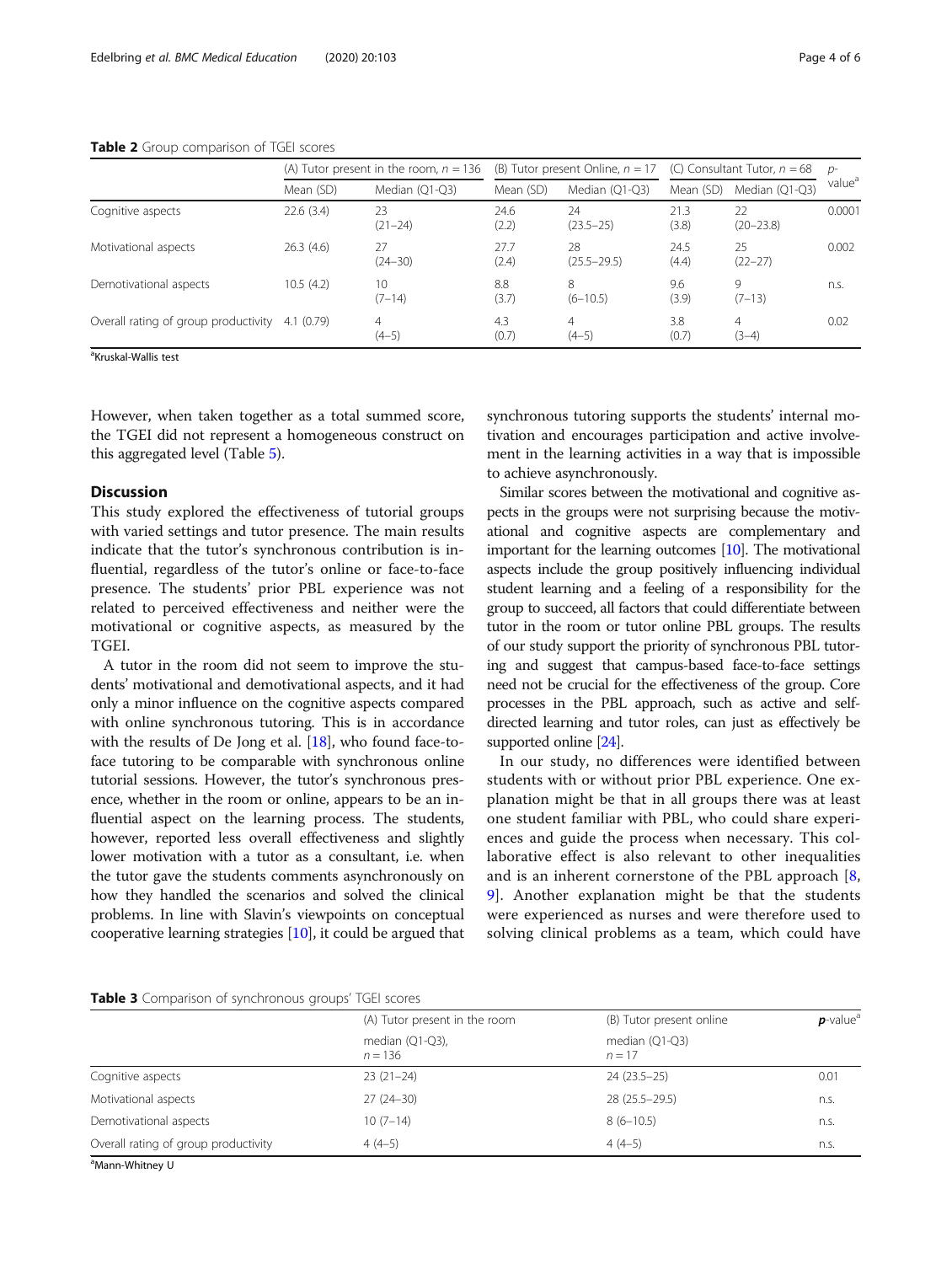#### <span id="page-3-0"></span>Table 2 Group comparison of TGEI scores

|                                      | (A) Tutor present in the room, $n = 136$ |                   | (B) Tutor present Online, $n = 17$ |                       | (C) Consultant Tutor, $n = 68$ |                     | $D^-$              |
|--------------------------------------|------------------------------------------|-------------------|------------------------------------|-----------------------|--------------------------------|---------------------|--------------------|
|                                      | Mean (SD)                                | Median (Q1-Q3)    | Mean (SD)                          | Median (Q1-Q3)        | Mean (SD)                      | Median (Q1-Q3)      | value <sup>a</sup> |
| Cognitive aspects                    | 22.6(3.4)                                | 23<br>$(21 - 24)$ | 24.6<br>(2.2)                      | 24<br>$(23.5 - 25)$   | 21.3<br>(3.8)                  | 22<br>$(20 - 23.8)$ | 0.0001             |
| Motivational aspects                 | 26.3(4.6)                                | 27<br>$(24 - 30)$ | 27.7<br>(2.4)                      | 28<br>$(25.5 - 29.5)$ | 24.5<br>(4.4)                  | 25<br>$(22 - 27)$   | 0.002              |
| Demotivational aspects               | 10.5(4.2)                                | 10<br>$(7-14)$    | 8.8<br>(3.7)                       | 8<br>$(6 - 10.5)$     | 9.6<br>(3.9)                   | 9<br>$(7-13)$       | n.S.               |
| Overall rating of group productivity | 4.1(0.79)                                | 4<br>$(4-5)$      | 4.3<br>(0.7)                       | 4<br>$(4-5)$          | 3.8<br>(0.7)                   | 4<br>$(3-4)$        | 0.02               |

<sup>a</sup>Kruskal-Wallis test

However, when taken together as a total summed score, the TGEI did not represent a homogeneous construct on this aggregated level (Table [5](#page-4-0)).

# **Discussion**

This study explored the effectiveness of tutorial groups with varied settings and tutor presence. The main results indicate that the tutor's synchronous contribution is influential, regardless of the tutor's online or face-to-face presence. The students' prior PBL experience was not related to perceived effectiveness and neither were the motivational or cognitive aspects, as measured by the TGEI.

A tutor in the room did not seem to improve the students' motivational and demotivational aspects, and it had only a minor influence on the cognitive aspects compared with online synchronous tutoring. This is in accordance with the results of De Jong et al. [[18](#page-5-0)], who found face-toface tutoring to be comparable with synchronous online tutorial sessions. However, the tutor's synchronous presence, whether in the room or online, appears to be an influential aspect on the learning process. The students, however, reported less overall effectiveness and slightly lower motivation with a tutor as a consultant, i.e. when the tutor gave the students comments asynchronously on how they handled the scenarios and solved the clinical problems. In line with Slavin's viewpoints on conceptual cooperative learning strategies [\[10\]](#page-5-0), it could be argued that

synchronous tutoring supports the students' internal motivation and encourages participation and active involvement in the learning activities in a way that is impossible to achieve asynchronously.

Similar scores between the motivational and cognitive aspects in the groups were not surprising because the motivational and cognitive aspects are complementary and important for the learning outcomes [\[10](#page-5-0)]. The motivational aspects include the group positively influencing individual student learning and a feeling of a responsibility for the group to succeed, all factors that could differentiate between tutor in the room or tutor online PBL groups. The results of our study support the priority of synchronous PBL tutoring and suggest that campus-based face-to-face settings need not be crucial for the effectiveness of the group. Core processes in the PBL approach, such as active and selfdirected learning and tutor roles, can just as effectively be supported online [\[24](#page-5-0)].

In our study, no differences were identified between students with or without prior PBL experience. One explanation might be that in all groups there was at least one student familiar with PBL, who could share experiences and guide the process when necessary. This collaborative effect is also relevant to other inequalities and is an inherent cornerstone of the PBL approach [\[8](#page-5-0), [9\]](#page-5-0). Another explanation might be that the students were experienced as nurses and were therefore used to solving clinical problems as a team, which could have

|  |  | Table 3 Comparison of synchronous groups' TGEI scores |  |  |
|--|--|-------------------------------------------------------|--|--|
|--|--|-------------------------------------------------------|--|--|

| <b>TWIND A</b> COMPOMISON OF SYNCHROMOGY GROUPS TOCKSCORD                                                                                                                                                                                                                                               |                               |                          |                         |  |  |
|---------------------------------------------------------------------------------------------------------------------------------------------------------------------------------------------------------------------------------------------------------------------------------------------------------|-------------------------------|--------------------------|-------------------------|--|--|
|                                                                                                                                                                                                                                                                                                         | (A) Tutor present in the room | (B) Tutor present online | $p$ -value <sup>a</sup> |  |  |
|                                                                                                                                                                                                                                                                                                         | median (Q1-Q3),<br>$n = 136$  | median (Q1-Q3)<br>$n=17$ |                         |  |  |
| Cognitive aspects                                                                                                                                                                                                                                                                                       | $23(21-24)$                   | $24(23.5-25)$            | 0.01                    |  |  |
| Motivational aspects                                                                                                                                                                                                                                                                                    | $27(24-30)$                   | 28 (25.5 - 29.5)         | n.S.                    |  |  |
| Demotivational aspects                                                                                                                                                                                                                                                                                  | $10(7-14)$                    | $8(6-10.5)$              | n.s.                    |  |  |
| Overall rating of group productivity                                                                                                                                                                                                                                                                    | $4(4-5)$                      | $4(4-5)$                 | n.s.                    |  |  |
| $2 + 1 - 1 + 1 + 1 - 1 + 1 - 1 + 1 - 1 + 1 - 1 + 1 - 1 + 1 - 1 + 1 - 1 + 1 - 1 + 1 - 1 + 1 - 1 + 1 - 1 + 1 - 1 + 1 - 1 + 1 - 1 + 1 - 1 + 1 - 1 + 1 - 1 + 1 - 1 + 1 - 1 + 1 - 1 + 1 - 1 + 1 - 1 + 1 - 1 + 1 - 1 + 1 - 1 + 1 - 1 + 1 - 1 + 1 - 1 + 1 - 1 + 1 - 1 + 1 - 1 + 1 - 1 + 1 - 1 + 1 - 1 + 1 - 1$ |                               |                          |                         |  |  |

<sup>a</sup>Mann-Whitney U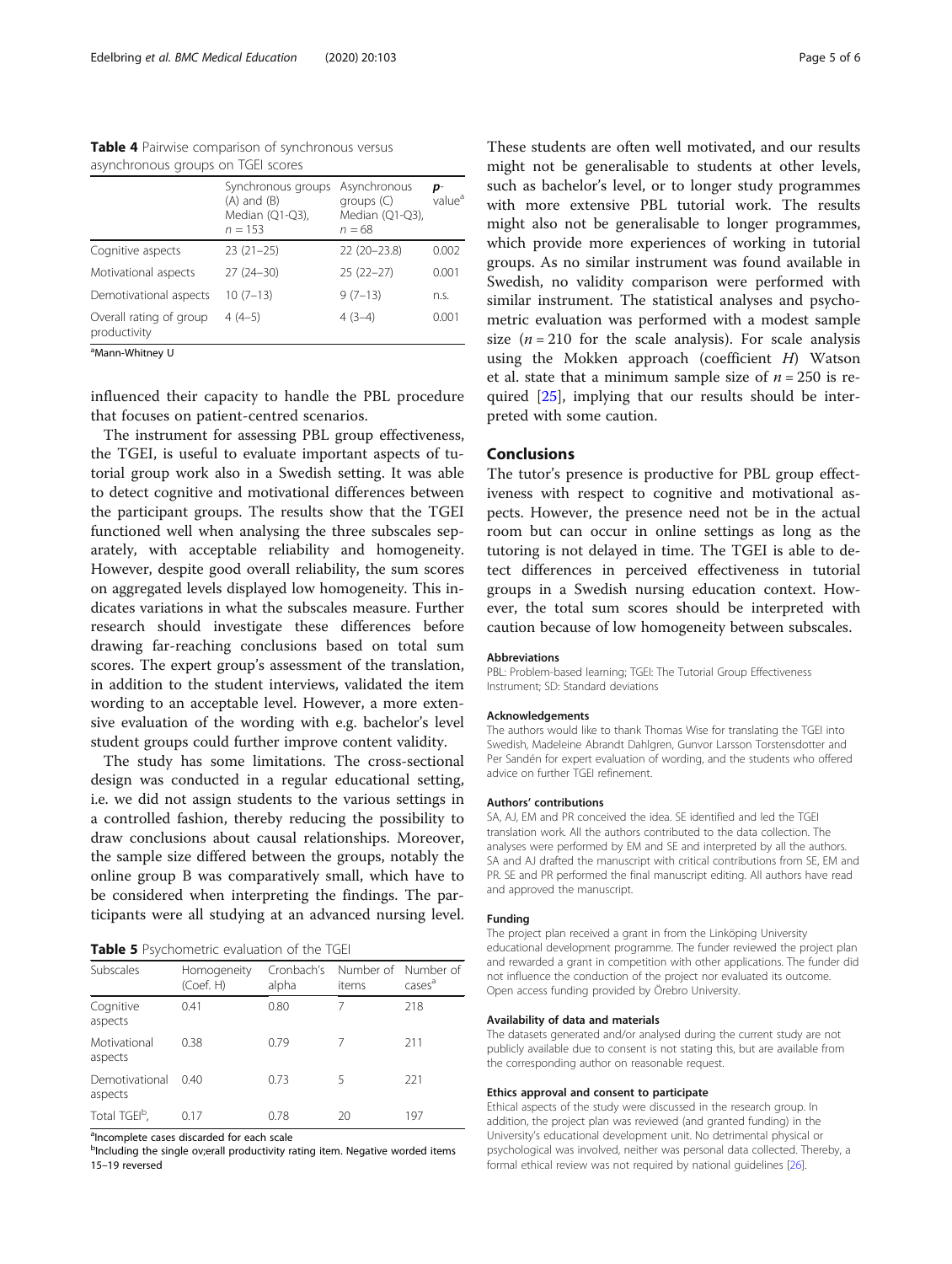<span id="page-4-0"></span>Table 4 Pairwise comparison of synchronous versus asynchronous groups on TGEI scores

|                                         | Synchronous groups<br>$(A)$ and $(B)$<br>Median (Q1-Q3),<br>$n = 153$ | Asynchronous<br>qroups(C)<br>Median (Q1-Q3),<br>$n = 68$ | p-<br>value <sup>a</sup> |
|-----------------------------------------|-----------------------------------------------------------------------|----------------------------------------------------------|--------------------------|
| Cognitive aspects                       | $23(21-25)$                                                           | 22 (20-23.8)                                             | 0.002                    |
| Motivational aspects                    | $27(24-30)$                                                           | $25(22-27)$                                              | 0.001                    |
| Demotivational aspects                  | $10(7-13)$                                                            | $9(7-13)$                                                | n.s.                     |
| Overall rating of group<br>productivity | $4(4-5)$                                                              | $4(3-4)$                                                 | 0.001                    |
|                                         |                                                                       |                                                          |                          |

<sup>a</sup>Mann-Whitney U

influenced their capacity to handle the PBL procedure that focuses on patient-centred scenarios.

The instrument for assessing PBL group effectiveness, the TGEI, is useful to evaluate important aspects of tutorial group work also in a Swedish setting. It was able to detect cognitive and motivational differences between the participant groups. The results show that the TGEI functioned well when analysing the three subscales separately, with acceptable reliability and homogeneity. However, despite good overall reliability, the sum scores on aggregated levels displayed low homogeneity. This indicates variations in what the subscales measure. Further research should investigate these differences before drawing far-reaching conclusions based on total sum scores. The expert group's assessment of the translation, in addition to the student interviews, validated the item wording to an acceptable level. However, a more extensive evaluation of the wording with e.g. bachelor's level student groups could further improve content validity.

The study has some limitations. The cross-sectional design was conducted in a regular educational setting, i.e. we did not assign students to the various settings in a controlled fashion, thereby reducing the possibility to draw conclusions about causal relationships. Moreover, the sample size differed between the groups, notably the online group B was comparatively small, which have to be considered when interpreting the findings. The participants were all studying at an advanced nursing level.

| Table 5 Psychometric evaluation of the TGEI |
|---------------------------------------------|
|---------------------------------------------|

| Subscales                 | Homogeneity<br>(Coef. H) | Cronbach's<br>alpha | items | Number of Number of<br>cases <sup>a</sup> |
|---------------------------|--------------------------|---------------------|-------|-------------------------------------------|
| Cognitive<br>aspects      | 0.41                     | 0.80                |       | 218                                       |
| Motivational<br>aspects   | 0.38                     | 0.79                |       | 211                                       |
| Demotivational<br>aspects | 0.40                     | 0.73                | 5     | 221                                       |
| Total TGEI <sup>b</sup> , | 0.17                     | 0.78                | 20    | 197                                       |

<sup>a</sup>Incomplete cases discarded for each scale

<sup>b</sup>Including the single ov;erall productivity rating item. Negative worded items 15–19 reversed

These students are often well motivated, and our results might not be generalisable to students at other levels, such as bachelor's level, or to longer study programmes with more extensive PBL tutorial work. The results might also not be generalisable to longer programmes, which provide more experiences of working in tutorial groups. As no similar instrument was found available in Swedish, no validity comparison were performed with similar instrument. The statistical analyses and psychometric evaluation was performed with a modest sample size  $(n = 210$  for the scale analysis). For scale analysis using the Mokken approach (coefficient H) Watson et al. state that a minimum sample size of  $n = 250$  is re-quired [[25\]](#page-5-0), implying that our results should be interpreted with some caution.

# Conclusions

The tutor's presence is productive for PBL group effectiveness with respect to cognitive and motivational aspects. However, the presence need not be in the actual room but can occur in online settings as long as the tutoring is not delayed in time. The TGEI is able to detect differences in perceived effectiveness in tutorial groups in a Swedish nursing education context. However, the total sum scores should be interpreted with caution because of low homogeneity between subscales.

#### Abbreviations

PBL: Problem-based learning; TGEI: The Tutorial Group Effectiveness Instrument; SD: Standard deviations

#### Acknowledgements

The authors would like to thank Thomas Wise for translating the TGEI into Swedish, Madeleine Abrandt Dahlgren, Gunvor Larsson Torstensdotter and Per Sandén for expert evaluation of wording, and the students who offered advice on further TGEI refinement.

#### Authors' contributions

SA, AJ, EM and PR conceived the idea. SE identified and led the TGEI translation work. All the authors contributed to the data collection. The analyses were performed by EM and SE and interpreted by all the authors. SA and AJ drafted the manuscript with critical contributions from SE, EM and PR. SE and PR performed the final manuscript editing. All authors have read and approved the manuscript.

#### Funding

The project plan received a grant in from the Linköping University educational development programme. The funder reviewed the project plan and rewarded a grant in competition with other applications. The funder did not influence the conduction of the project nor evaluated its outcome. Open access funding provided by Örebro University.

#### Availability of data and materials

The datasets generated and/or analysed during the current study are not publicly available due to consent is not stating this, but are available from the corresponding author on reasonable request.

#### Ethics approval and consent to participate

Ethical aspects of the study were discussed in the research group. In addition, the project plan was reviewed (and granted funding) in the University's educational development unit. No detrimental physical or psychological was involved, neither was personal data collected. Thereby, a formal ethical review was not required by national guidelines [\[26\]](#page-5-0).